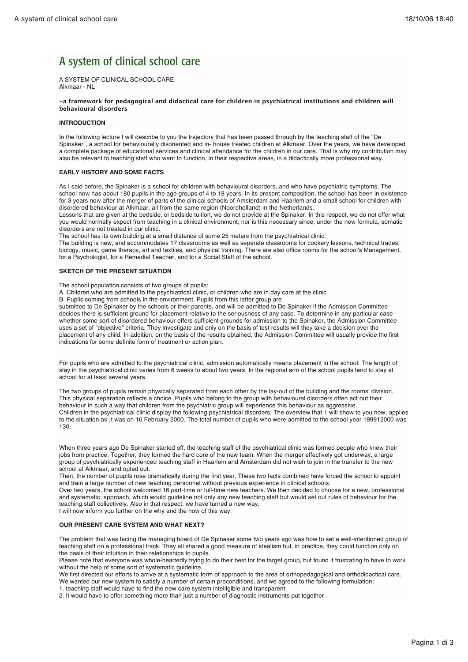# A system of clinical school care

A SYSTEM OF CLINICAL SCHOOL CARE Alkmaar - NL

### **-a framework for pedagogical and didactical care for children in psychíatrical institutions and children will behavioural disorders**

# **INTRODUCTION**

In the following lecture I will describe to you the trajectory that has been passed through by the teaching staff of the "De Spinaker", a school for behaviourally disoriented and in- house treated children at Alkmaar. Over the years, we have developed a complete package of educational services and clinical attendance for the children in our care. That is why my contribution may also be relevant to teaching staff who want to function, in their respective areas, in a didactically more professional way.

# **EARLY HISTORY AND SOME FACTS**

As I said before, the Spinaker is a school for children with behavioural disorders, and who have psychiatric symptoms. The school now has about 180 pupils in the age groups of 4 to 18 years. In its present composition, the school has been in existence for 3 years now after the merger of parts of the clinical schools of Amsterdam and Haarlem and a small school for children with disordered behaviour at Alkmaar, all from the same region (Noordholland) in the Netherlands.

Lessons that are given at the bedside, or bedside tuition, we do not provide at the Spinaker. In this respect, we do not offer what you would normally expect from teaching in a clinical environment; nor is this necessary since, under the new formula, somatic disorders are not treated in our clinic.

The school has its own building at a small distance of some 25 meters from the psychíatrical clinic.

The building is new, and accommodates 17 classrooms as well as separate classrooms for cookery lessons, technical trades, biology, music, game therapy, art and textiles, and physical training. There are also office rooms for the school's Management, for a Psychologist, for a Remedial Teacher, and for a Social Staff of the school.

# **SKETCH OF THE PRESENT SITUATION**

The school population consists of two groups of pupils:

A. Children who are admitted to the psychíatrical clinic, or children who are in day care at the clinic

B. Pupils coming from schools in the environment. Pupils from this latter group are

submitted to De Spinaker by the schools or their parents, and will be admitted to De Spinaker if the Admission Committee decides there is sufficient ground for placement relative to the seriousness of any case. To determine in any particular case whether some sort of disordered behaviour offers sufficient grounds for admission to the Spinaker, the Admission Committee uses a set of "objective" criteria. They investigate and only on the basis of test results will they take a decision over the placement of any child. In addition, on the basis of the results obtained, the Admission Committee will usually provide the first indications for some definite form of treatment or action plan.

For pupils who are admitted to the psychiatrical clinic, admission automatically means placement in the school. The length of stay in the psychiatrical clinic varies from 6 weeks to about two years. In the regional arm of the school pupils tend to stay at school for at least several years.

The two groups of pupils remain physically separated from each other by the lay-out of the building and the rooms' division. This physical separation reflects a choice. Pupils who belong to the group with behavioural disorders often act out their behaviour in such a way that children from the psychiatric group will experience this behaviour as aggressive. Children in the psychiatrical clinic display the following psychiatrical disorders. The overview that 1 will show to you now, applies to the situation as ¡t was on 16 February 2000. The total number of pupils who were admitted to the school year 199912000 was 130.

When three years ago De Spinaker started off, the teaching staff of the psychiatrical clinic was formed people who knew their jobs from practice. Together, they formed the hard core of the new team. When the merger effectively got underway, a large group of psychiatrically experienced teaching staff in Haarlem and Amsterdam did not wish to join in the transfer to the new school at Alkmaar, and opted out.

Then, the number of pupils rose dramatically during the first year. These two facts combined have forced the school to appoint and train a large number of new teaching personnel without previous experience in clinical schools.

Over two years, the school welcomed 16 part-time or full-time new teachers. We then decided to choose for a new, professional and systematic, approach, which would guideline not only any new teaching staff but would set out rules of behaviour for the teaching staff collectively. Also in that respect, we have turned a new way.

I will now inform you further on the why and the how of this way.

#### **OUR PRESENT CARE SYSTEM AND WHAT NEXT?**

The problem that was facing the managing board of De Spinaker some two years ago was how to set a well-intentioned group of teaching staff on a professional track. They all shared a good measure of idealism but, in practice, they could function only on the basis of their intuition in their relationships to pupils.

Please note that everyone was whole-heartedly trying to do their best for the target group, but found it frustrating to have to work without the help of some sort of systematic guideline.

We first directed our efforts to arrive at a systernatic form of approach to the area of orthopedagogical and orthodidactical care. We wanted our new system to satisfy a nurnber of certain preconditions, and we agreed to the following formulation:

1. teaching staff would have to find the new care system intelligible and transparent

2. It would have to offer something more than just a number of diagnostic instruments put together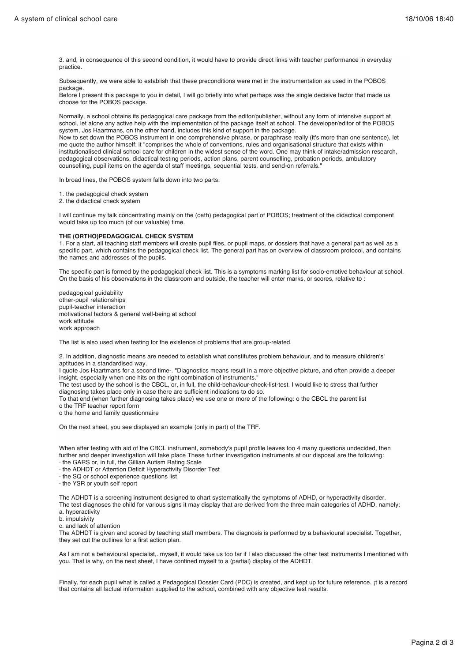3. and, in consequence of this second condition, it would have to provide direct links with teacher performance in everyday practice.

Subsequently, we were able to establish that these preconditions were met in the instrumentation as used in the POBOS package.

Before I present this package to you in detail, I will go briefly into what perhaps was the single decisive factor that made us choose for the POBOS package.

Normally, a school obtains its pedagogical care package from the editor/publisher, without any form of intensive support at school, let alone any active help with the implementation of the package itself at school. The developer/editor of the POBOS system, Jos Haartmans, on the other hand, includes this kind of support in the package. Now to set down the POBOS instrument in one comprehensive phrase, or paraphrase really (it's more than one sentence), let me quote the author himself: it "comprises the whole of conventions, rules and organisational structure that exists within institutionalised clinical school care for children in the widest sense of the word. One may think of intake/admission research,

pedagogical observations, didactical testing periods, action plans, parent counselling, probation periods, ambulatory counselling, pupil items on the agenda of staff meetings, sequential tests, and send-on referrals."

In broad lines, the POBOS system falls down into two parts:

1. the pedagogical check system

2. the didactical check system

I will continue my talk concentrating mainly on the (oath) pedagogical part of POBOS; treatment of the didactical component would take up too much (of our valuable) time.

# **THE (ORTHO)PEDAGOGICAL CHECK SYSTEM**

1. For a start, all teaching staff members will create pupil files, or pupil maps, or dossiers that have a general part as well as a specific part, which contains the pedagogical check list. The general part has on overview of classroom protocol, and contains the names and addresses of the pupils.

The specific part is formed by the pedagogical check list. This is a symptoms marking list for socio-emotive behaviour at school. On the basis of his observations in the classroom and outside, the teacher will enter marks, or scores, relative to :

pedagogical guidability other-pupil relationships pupil-teacher interaction motivational factors & general well-being at school work attitude work approach

The list is also used when testing for the existence of problems that are group-related.

2. In addition, diagnostic means are needed to establish what constitutes problem behaviour, and to measure children's' aptitudes in a standardised way.

I quote Jos Haartmans for a second time-. "Diagnostics means result in a more objective picture, and often provide a deeper insight, especially when one hits on the right combination of instruments."

The test used by the school is the CBCL, or, in full, the child-behaviour-check-list-test. I would like to stress that further diagnosing takes place only in case there are sufficient indications to do so.

To that end (when further diagnosing takes place) we use one or more of the following: o the CBCL the parent list

o the TRF teacher report form

o the home and family questionnaire

On the next sheet, you see displayed an example (only in part) of the TRF.

When after testing with aid of the CBCL instrument, somebody's pupil profile leaves too 4 many questions undecided, then further and deeper investigation will take place These further investigation instruments at our disposal are the following: · the GARS or, in full, the Gillian Autism Rating Scale

· the ADHDT or Attention Deficit Hyperactivíty Disorder Test

· the SQ or school experience questions list

· the YSR or youth self report

The ADHDT is a screening instrument designed to chart systematically the symptoms of ADHD, or hyperactivity disorder. The test diagnoses the child for various signs it may display that are derived from the three main categories of ADHD, namely:

a. hyperactivity

b. impulsivity

c. and lack of attention

The ADHDT is given and scored by teaching staff members. The diagnosis is performed by a behavioural specialist. Together, they set cut the outlines for a first action plan.

As I am not a behavioural specialist,. myself, it would take us too far if I also discussed the other test instruments I mentioned with you. That is why, on the next sheet, I have confined myself to a (partial) display of the ADHDT.

Finally, for each pupil what is called a Pedagogical Dossier Card (PDC) is created, and kept up for future reference. ¡t is a record that contains all factual information supplied to the school, combined with any objective test results.